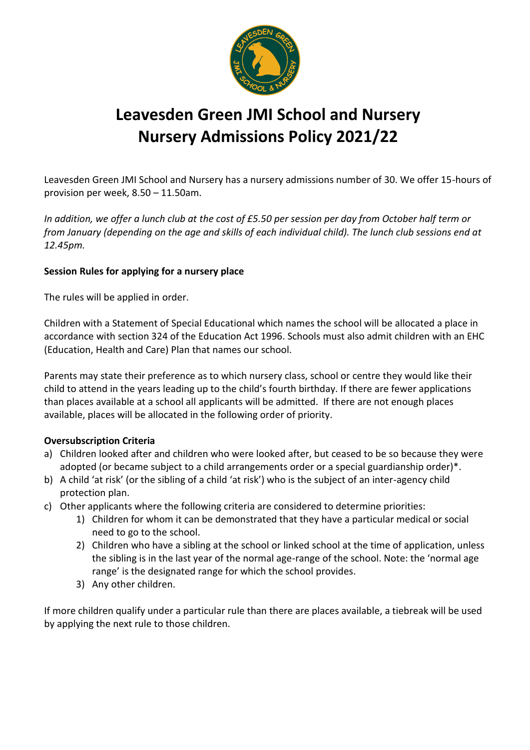

## **Leavesden Green JMI School and Nursery Nursery Admissions Policy 2021/22**

Leavesden Green JMI School and Nursery has a nursery admissions number of 30. We offer 15-hours of provision per week, 8.50 – 11.50am.

*In addition, we offer a lunch club at the cost of £5.50 per session per day from October half term or from January (depending on the age and skills of each individual child). The lunch club sessions end at 12.45pm.* 

## **Session Rules for applying for a nursery place**

The rules will be applied in order.

Children with a Statement of Special Educational which names the school will be allocated a place in accordance with section 324 of the Education Act 1996. Schools must also admit children with an EHC (Education, Health and Care) Plan that names our school.

Parents may state their preference as to which nursery class, school or centre they would like their child to attend in the years leading up to the child's fourth birthday. If there are fewer applications than places available at a school all applicants will be admitted. If there are not enough places available, places will be allocated in the following order of priority.

## **Oversubscription Criteria**

- a) Children looked after and children who were looked after, but ceased to be so because they were adopted (or became subject to a child arrangements order or a special guardianship order)\*.
- b) A child 'at risk' (or the sibling of a child 'at risk') who is the subject of an inter-agency child protection plan.
- c) Other applicants where the following criteria are considered to determine priorities:
	- 1) Children for whom it can be demonstrated that they have a particular medical or social need to go to the school.
	- 2) Children who have a sibling at the school or linked school at the time of application, unless the sibling is in the last year of the normal age-range of the school. Note: the 'normal age range' is the designated range for which the school provides.
	- 3) Any other children.

If more children qualify under a particular rule than there are places available, a tiebreak will be used by applying the next rule to those children.